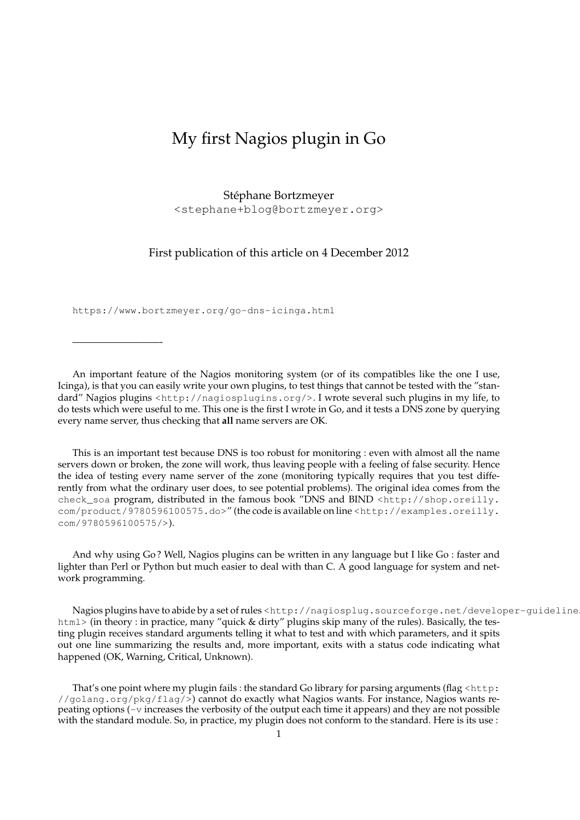## My first Nagios plugin in Go

## Stephane Bortzmeyer ´

<stephane+blog@bortzmeyer.org>

First publication of this article on 4 December 2012

https://www.bortzmeyer.org/go-dns-icinga.html

—————————-

An important feature of the Nagios monitoring system (or of its compatibles like the one I use, Icinga), is that you can easily write your own plugins, to test things that cannot be tested with the "standard" Nagios plugins <http://nagiosplugins.org/>. I wrote several such plugins in my life, to do tests which were useful to me. This one is the first I wrote in Go, and it tests a DNS zone by querying every name server, thus checking that **all** name servers are OK.

This is an important test because DNS is too robust for monitoring : even with almost all the name servers down or broken, the zone will work, thus leaving people with a feeling of false security. Hence the idea of testing every name server of the zone (monitoring typically requires that you test differently from what the ordinary user does, to see potential problems). The original idea comes from the check\_soa program, distributed in the famous book "DNS and BIND <http://shop.oreilly. com/product/9780596100575.do>" (the code is available on line <http://examples.oreilly. com/9780596100575/>).

And why using Go ? Well, Nagios plugins can be written in any language but I like Go : faster and lighter than Perl or Python but much easier to deal with than C. A good language for system and network programming.

Nagios plugins have to abide by a set of rules <http://nagiosplug.sourceforge.net/developer-guideline html> (in theory : in practice, many "quick & dirty" plugins skip many of the rules). Basically, the testing plugin receives standard arguments telling it what to test and with which parameters, and it spits out one line summarizing the results and, more important, exits with a status code indicating what happened (OK, Warning, Critical, Unknown).

That's one point where my plugin fails : the standard Go library for parsing arguments (flag <http: //golang.org/pkg/flag/>) cannot do exactly what Nagios wants. For instance, Nagios wants repeating options (-v increases the verbosity of the output each time it appears) and they are not possible with the standard module. So, in practice, my plugin does not conform to the standard. Here is its use :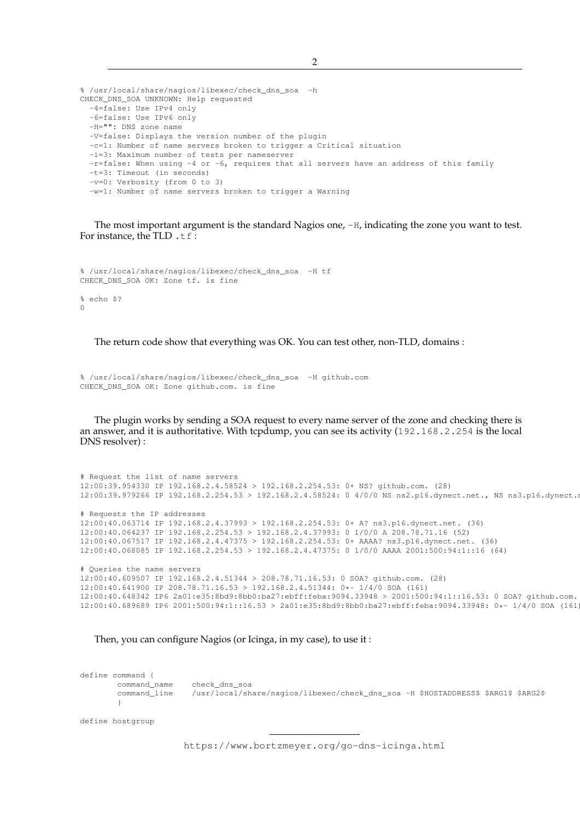```
% /usr/local/share/nagios/libexec/check_dns_soa -h
CHECK_DNS_SOA UNKNOWN: Help requested
  -4=false: Use IPv4 only
  -6=false: Use IPv6 only
  -H="": DNS zone name
  -V=false: Displays the version number of the plugin
  -c=1: Number of name servers broken to trigger a Critical situation
  -i=3: Maximum number of tests per nameserver
  -r=false: When using -4 or -6, requires that all servers have an address of this family
  -t=3: Timeout (in seconds)
  -v=0: Verbosity (from 0 to 3)
  -w=1: Number of name servers broken to trigger a Warning
```
The most important argument is the standard Nagios one, -H, indicating the zone you want to test. For instance, the TLD .tf:

```
% /usr/local/share/nagios/libexec/check_dns_soa -H tf
CHECK_DNS_SOA OK: Zone tf. is fine
% echo $?
\Omega
```
The return code show that everything was OK. You can test other, non-TLD, domains :

```
% /usr/local/share/nagios/libexec/check_dns_soa -H github.com
CHECK_DNS_SOA OK: Zone github.com. is fine
```
The plugin works by sending a SOA request to every name server of the zone and checking there is an answer, and it is authoritative. With tcpdump, you can see its activity (192.168.2.254 is the local DNS resolver) :

```
# Request the list of name servers
12:00:39.954330 IP 192.168.2.4.58524 > 192.168.2.254.53: 0+ NS? github.com. (28)
12:00:39.979266 IP 192.168.2.254.53 > 192.168.2.4.58524: 0 4/0/0 NS ns2.p16.dynect.net., NS ns3.p16.dynect.net., NS ns1.p16.dynect.net., NS ns4.p16.dynect.net. (114)
# Requests the IP addresses
12:00:40.063714 IP 192.168.2.4.37993 > 192.168.2.254.53: 0+ A? ns3.p16.dynect.net. (36)
12:00:40.064237 IP 192.168.2.254.53 > 192.168.2.4.37993: 0 1/0/0 A 208.78.71.16 (52)
12:00:40.067517 IP 192.168.2.4.47375 > 192.168.2.254.53: 0+ AAAA? ns3.p16.dynect.net. (36)
12:00:40.068085 IP 192.168.2.254.53 > 192.168.2.4.47375: 0 1/0/0 AAAA 2001:500:94:1::16 (64)
# Queries the name servers
12:00:40.609507 IP 192.168.2.4.51344 > 208.78.71.16.53: 0 SOA? github.com. (28)
12:00:40.641900 IP 208.78.71.16.53 > 192.168.2.4.51344: 0*- 1/4/0 SOA (161)
12:00:40.648342 IP6 2a01:e35:8bd9:8bb0:ba27:ebff:feba:9094.33948 > 2001:500:94:1::16.53: 0 SOA? github.com. (28)
```
12:00:40.689689 IP6 2001:500:94:1::16.53 > 2a01:e35:8bd9:8bb0:ba27:ebff:feba:9094.33948: 0\*- 1/4/0 SOA (161)

```
Then, you can configure Nagios (or Icinga, in my case), to use it :
```
define command { command\_name check\_dns\_soa command\_line /usr/local/share/nagios/libexec/check\_dns\_soa -H \$HOSTADDRESS\$ \$ARG1\$ \$ARG2\$ }

define hostgroup

————————— https://www.bortzmeyer.org/go-dns-icinga.html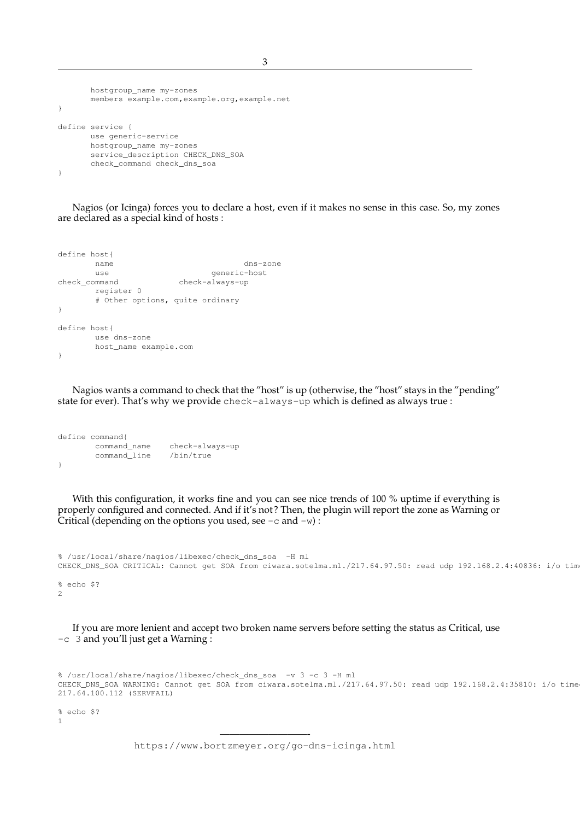hostgroup\_name my-zones members example.com,example.org,example.net } define service { use generic-service hostgroup\_name my-zones service\_description CHECK\_DNS\_SOA check\_command check\_dns\_soa }

Nagios (or Icinga) forces you to declare a host, even if it makes no sense in this case. So, my zones are declared as a special kind of hosts :

```
define host{
     name dns-zone
     use generic-host
check_command check-always-up
     register 0
     # Other options, quite ordinary
}
define host{
     use dns-zone
     host_name example.com
}
```
Nagios wants a command to check that the "host" is up (otherwise, the "host" stays in the "pending" state for ever). That's why we provide check-always-up which is defined as always true :

```
define command{
      command_name check-always-up
       command_line /bin/true
}
```
With this configuration, it works fine and you can see nice trends of 100 % uptime if everything is properly configured and connected. And if it's not ? Then, the plugin will report the zone as Warning or Critical (depending on the options you used, see  $-c$  and  $-w$ ):

```
% /usr/local/share/nagios/libexec/check_dns_soa -H ml
CHECK_DNS_SOA CRITICAL: Cannot get SOA from ciwara.sotelma.ml./217.64.97.50: read udp 192.168.2.4:40836: i/o tim
% echo $?
2
```
If you are more lenient and accept two broken name servers before setting the status as Critical, use -c 3 and you'll just get a Warning :

```
% /usr/local/share/nagios/libexec/check_dns_soa -v 3 -c 3 -H ml
CHECK_DNS_SOA WARNING: Cannot get SOA from ciwara.sotelma.ml./217.64.97.50: read udp 192.168.2.4:35810: i/o time
217.64.100.112 (SERVFAIL)
```
% echo \$? 1

> ————————— https://www.bortzmeyer.org/go-dns-icinga.html